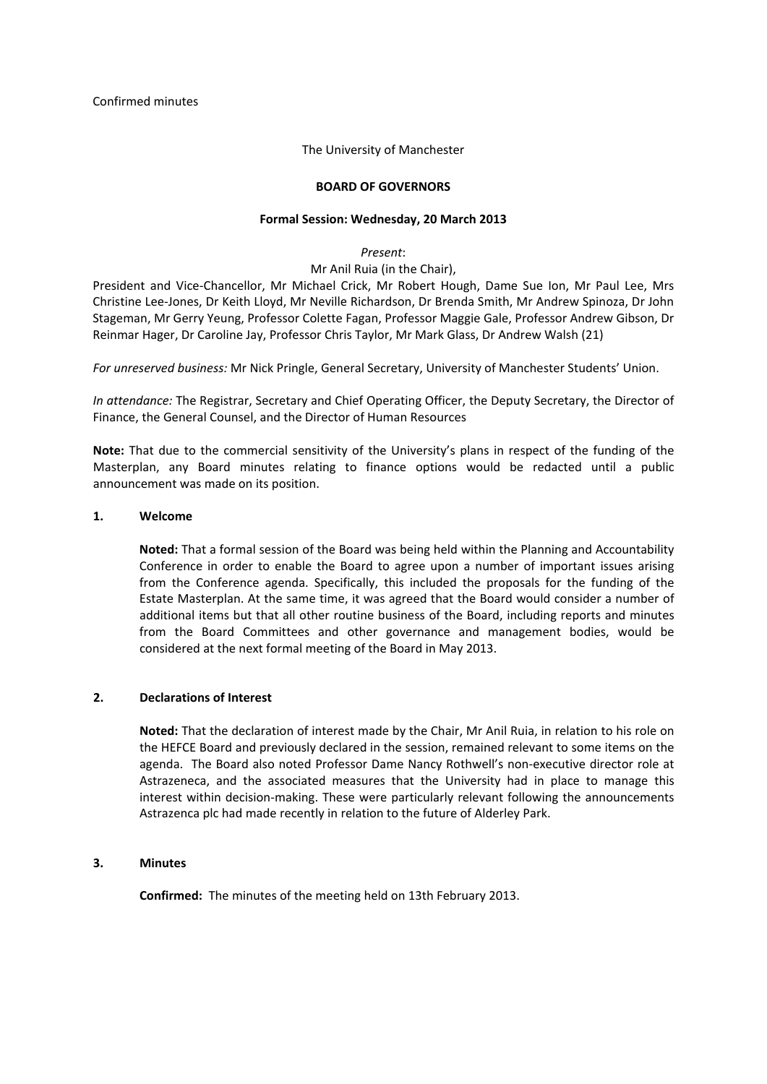Confirmed minutes

The University of Manchester

#### **BOARD OF GOVERNORS**

#### **Formal Session: Wednesday, 20 March 2013**

*Present*:

# Mr Anil Ruia (in the Chair),

President and Vice‐Chancellor, Mr Michael Crick, Mr Robert Hough, Dame Sue Ion, Mr Paul Lee, Mrs Christine Lee‐Jones, Dr Keith Lloyd, Mr Neville Richardson, Dr Brenda Smith, Mr Andrew Spinoza, Dr John Stageman, Mr Gerry Yeung, Professor Colette Fagan, Professor Maggie Gale, Professor Andrew Gibson, Dr Reinmar Hager, Dr Caroline Jay, Professor Chris Taylor, Mr Mark Glass, Dr Andrew Walsh (21)

*For unreserved business:* Mr Nick Pringle, General Secretary, University of Manchester Students' Union.

*In attendance:* The Registrar, Secretary and Chief Operating Officer, the Deputy Secretary, the Director of Finance, the General Counsel, and the Director of Human Resources

**Note:** That due to the commercial sensitivity of the University's plans in respect of the funding of the Masterplan, any Board minutes relating to finance options would be redacted until a public announcement was made on its position.

#### **1. Welcome**

**Noted:** That a formal session of the Board was being held within the Planning and Accountability Conference in order to enable the Board to agree upon a number of important issues arising from the Conference agenda. Specifically, this included the proposals for the funding of the Estate Masterplan. At the same time, it was agreed that the Board would consider a number of additional items but that all other routine business of the Board, including reports and minutes from the Board Committees and other governance and management bodies, would be considered at the next formal meeting of the Board in May 2013.

# **2. Declarations of Interest**

**Noted:** That the declaration of interest made by the Chair, Mr Anil Ruia, in relation to his role on the HEFCE Board and previously declared in the session, remained relevant to some items on the agenda. The Board also noted Professor Dame Nancy Rothwell's non‐executive director role at Astrazeneca, and the associated measures that the University had in place to manage this interest within decision-making. These were particularly relevant following the announcements Astrazenca plc had made recently in relation to the future of Alderley Park.

#### **3. Minutes**

**Confirmed:** The minutes of the meeting held on 13th February 2013.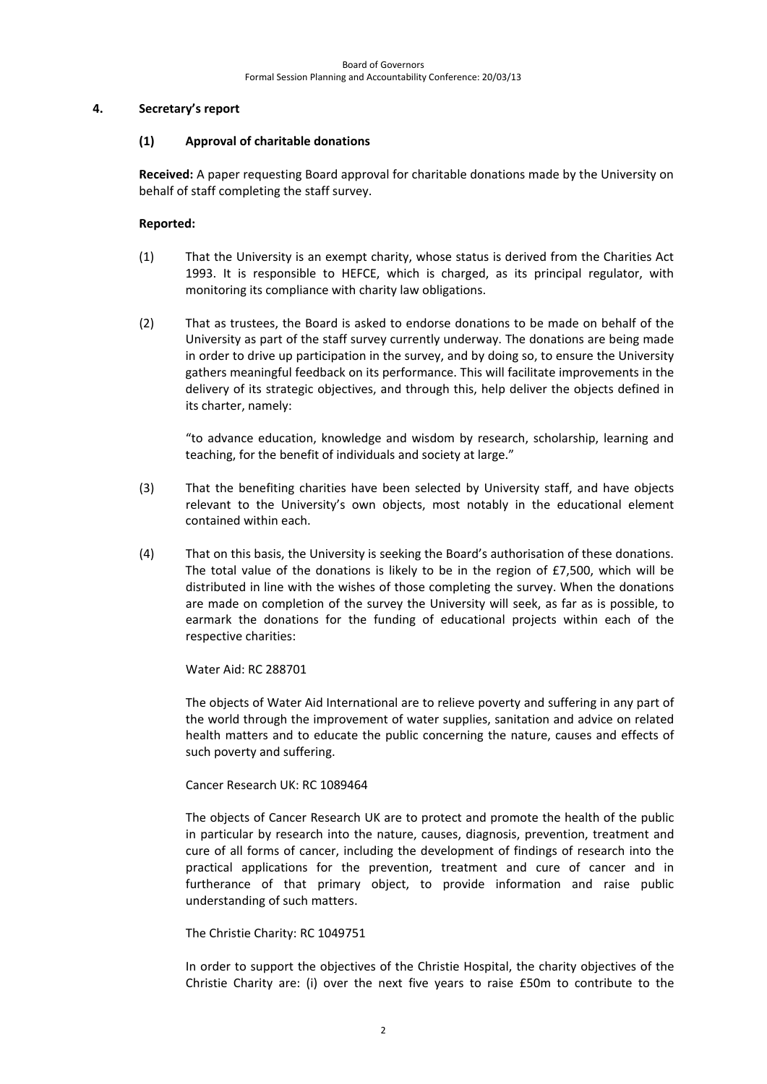## **4. Secretary's report**

## **(1) Approval of charitable donations**

**Received:** A paper requesting Board approval for charitable donations made by the University on behalf of staff completing the staff survey.

## **Reported:**

- (1) That the University is an exempt charity, whose status is derived from the Charities Act 1993. It is responsible to HEFCE, which is charged, as its principal regulator, with monitoring its compliance with charity law obligations.
- (2) That as trustees, the Board is asked to endorse donations to be made on behalf of the University as part of the staff survey currently underway. The donations are being made in order to drive up participation in the survey, and by doing so, to ensure the University gathers meaningful feedback on its performance. This will facilitate improvements in the delivery of its strategic objectives, and through this, help deliver the objects defined in its charter, namely:

"to advance education, knowledge and wisdom by research, scholarship, learning and teaching, for the benefit of individuals and society at large."

- (3) That the benefiting charities have been selected by University staff, and have objects relevant to the University's own objects, most notably in the educational element contained within each.
- (4) That on this basis, the University is seeking the Board's authorisation of these donations. The total value of the donations is likely to be in the region of £7,500, which will be distributed in line with the wishes of those completing the survey. When the donations are made on completion of the survey the University will seek, as far as is possible, to earmark the donations for the funding of educational projects within each of the respective charities:

Water Aid: RC 288701

The objects of Water Aid International are to relieve poverty and suffering in any part of the world through the improvement of water supplies, sanitation and advice on related health matters and to educate the public concerning the nature, causes and effects of such poverty and suffering.

# Cancer Research UK: RC 1089464

The objects of Cancer Research UK are to protect and promote the health of the public in particular by research into the nature, causes, diagnosis, prevention, treatment and cure of all forms of cancer, including the development of findings of research into the practical applications for the prevention, treatment and cure of cancer and in furtherance of that primary object, to provide information and raise public understanding of such matters.

# The Christie Charity: RC 1049751

In order to support the objectives of the Christie Hospital, the charity objectives of the Christie Charity are: (i) over the next five years to raise £50m to contribute to the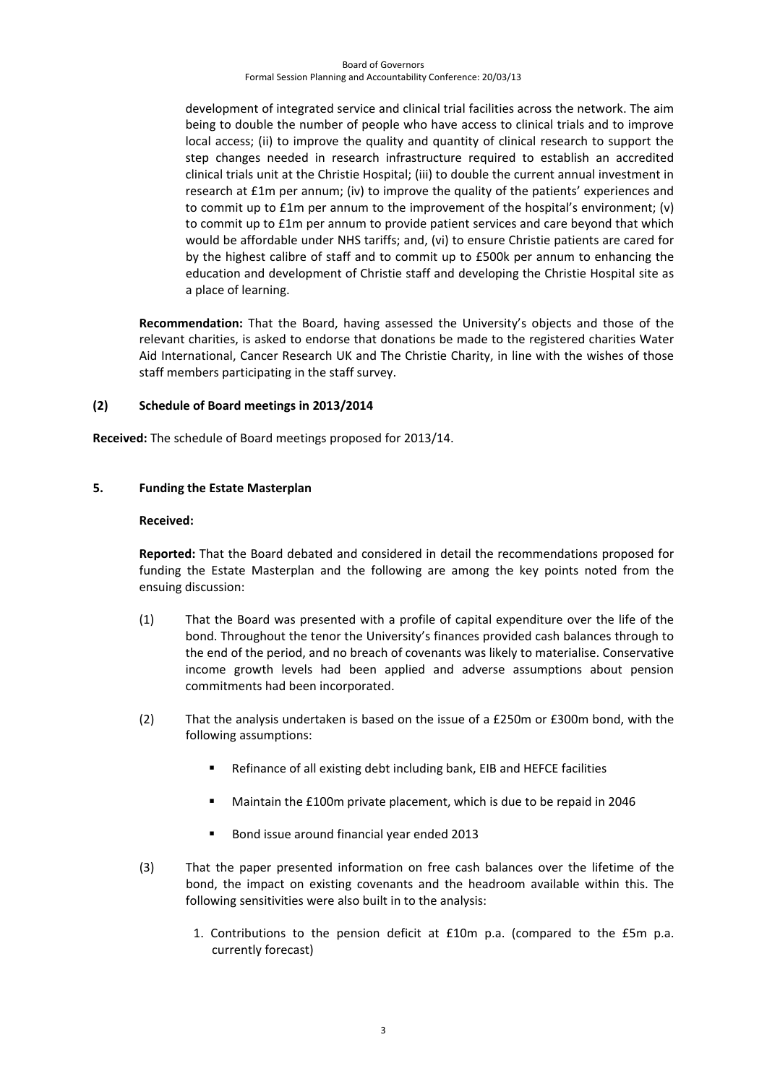#### Board of Governors Formal Session Planning and Accountability Conference: 20/03/13

development of integrated service and clinical trial facilities across the network. The aim being to double the number of people who have access to clinical trials and to improve local access; (ii) to improve the quality and quantity of clinical research to support the step changes needed in research infrastructure required to establish an accredited clinical trials unit at the Christie Hospital; (iii) to double the current annual investment in research at £1m per annum; (iv) to improve the quality of the patients' experiences and to commit up to £1m per annum to the improvement of the hospital's environment; (v) to commit up to £1m per annum to provide patient services and care beyond that which would be affordable under NHS tariffs; and, (vi) to ensure Christie patients are cared for by the highest calibre of staff and to commit up to £500k per annum to enhancing the education and development of Christie staff and developing the Christie Hospital site as a place of learning.

**Recommendation:** That the Board, having assessed the University's objects and those of the relevant charities, is asked to endorse that donations be made to the registered charities Water Aid International, Cancer Research UK and The Christie Charity, in line with the wishes of those staff members participating in the staff survey.

### **(2) Schedule of Board meetings in 2013/2014**

**Received:** The schedule of Board meetings proposed for 2013/14.

### **5. Funding the Estate Masterplan**

#### **Received:**

**Reported:** That the Board debated and considered in detail the recommendations proposed for funding the Estate Masterplan and the following are among the key points noted from the ensuing discussion:

- (1) That the Board was presented with a profile of capital expenditure over the life of the bond. Throughout the tenor the University's finances provided cash balances through to the end of the period, and no breach of covenants was likely to materialise. Conservative income growth levels had been applied and adverse assumptions about pension commitments had been incorporated.
- (2) That the analysis undertaken is based on the issue of a £250m or £300m bond, with the following assumptions:
	- Refinance of all existing debt including bank, EIB and HEFCE facilities
	- Maintain the £100m private placement, which is due to be repaid in 2046
	- Bond issue around financial year ended 2013
- (3) That the paper presented information on free cash balances over the lifetime of the bond, the impact on existing covenants and the headroom available within this. The following sensitivities were also built in to the analysis:
	- 1. Contributions to the pension deficit at £10m p.a. (compared to the £5m p.a. currently forecast)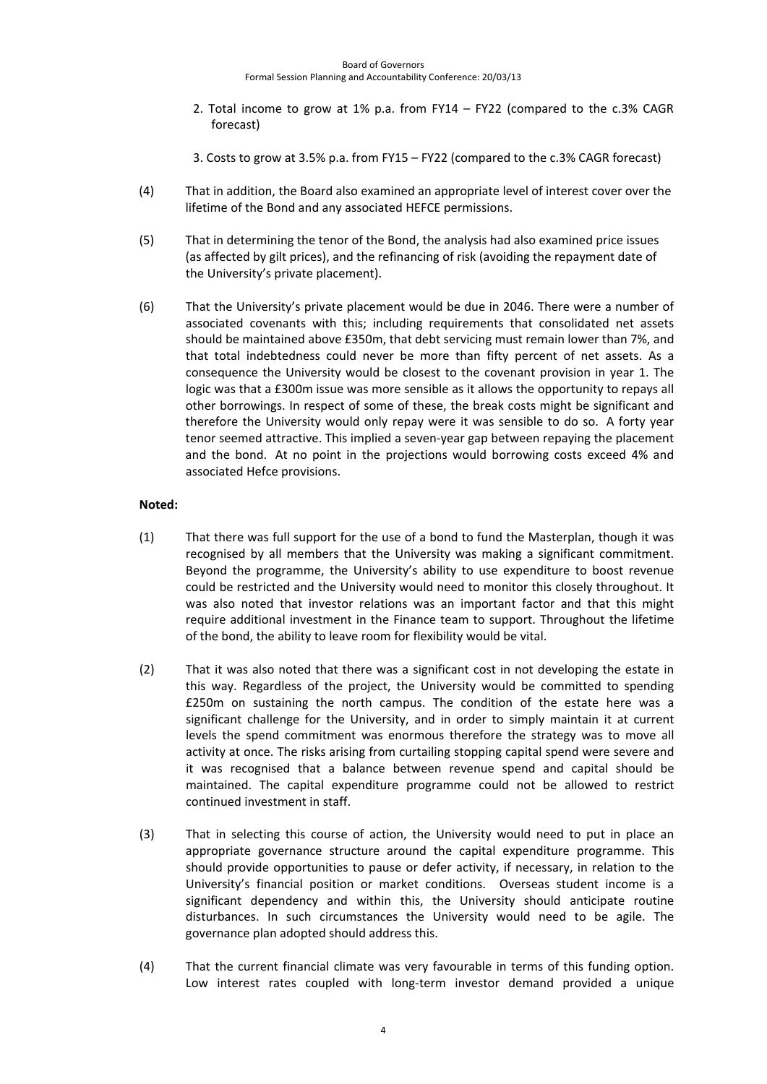- 2. Total income to grow at 1% p.a. from FY14 FY22 (compared to the c.3% CAGR forecast)
- 3. Costs to grow at 3.5% p.a. from FY15 FY22 (compared to the c.3% CAGR forecast)
- (4) That in addition, the Board also examined an appropriate level of interest cover over the lifetime of the Bond and any associated HEFCE permissions.
- (5) That in determining the tenor of the Bond, the analysis had also examined price issues (as affected by gilt prices), and the refinancing of risk (avoiding the repayment date of the University's private placement).
- (6) That the University's private placement would be due in 2046. There were a number of associated covenants with this; including requirements that consolidated net assets should be maintained above £350m, that debt servicing must remain lower than 7%, and that total indebtedness could never be more than fifty percent of net assets. As a consequence the University would be closest to the covenant provision in year 1. The logic was that a £300m issue was more sensible as it allows the opportunity to repays all other borrowings. In respect of some of these, the break costs might be significant and therefore the University would only repay were it was sensible to do so. A forty year tenor seemed attractive. This implied a seven-year gap between repaying the placement and the bond. At no point in the projections would borrowing costs exceed 4% and associated Hefce provisions.

# **Noted:**

- (1) That there was full support for the use of a bond to fund the Masterplan, though it was recognised by all members that the University was making a significant commitment. Beyond the programme, the University's ability to use expenditure to boost revenue could be restricted and the University would need to monitor this closely throughout. It was also noted that investor relations was an important factor and that this might require additional investment in the Finance team to support. Throughout the lifetime of the bond, the ability to leave room for flexibility would be vital.
- (2) That it was also noted that there was a significant cost in not developing the estate in this way. Regardless of the project, the University would be committed to spending £250m on sustaining the north campus. The condition of the estate here was a significant challenge for the University, and in order to simply maintain it at current levels the spend commitment was enormous therefore the strategy was to move all activity at once. The risks arising from curtailing stopping capital spend were severe and it was recognised that a balance between revenue spend and capital should be maintained. The capital expenditure programme could not be allowed to restrict continued investment in staff.
- (3) That in selecting this course of action, the University would need to put in place an appropriate governance structure around the capital expenditure programme. This should provide opportunities to pause or defer activity, if necessary, in relation to the University's financial position or market conditions. Overseas student income is a significant dependency and within this, the University should anticipate routine disturbances. In such circumstances the University would need to be agile. The governance plan adopted should address this.
- (4) That the current financial climate was very favourable in terms of this funding option. Low interest rates coupled with long-term investor demand provided a unique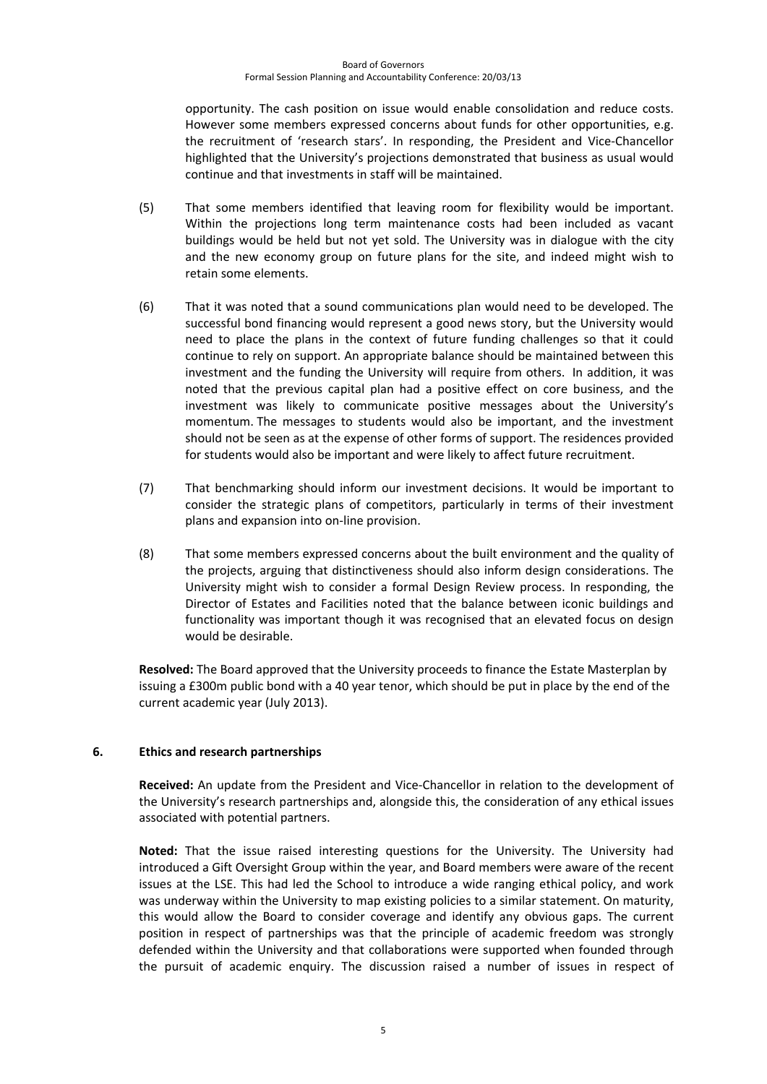#### Board of Governors Formal Session Planning and Accountability Conference: 20/03/13

opportunity. The cash position on issue would enable consolidation and reduce costs. However some members expressed concerns about funds for other opportunities, e.g. the recruitment of 'research stars'. In responding, the President and Vice-Chancellor highlighted that the University's projections demonstrated that business as usual would continue and that investments in staff will be maintained.

- (5) That some members identified that leaving room for flexibility would be important. Within the projections long term maintenance costs had been included as vacant buildings would be held but not yet sold. The University was in dialogue with the city and the new economy group on future plans for the site, and indeed might wish to retain some elements.
- (6) That it was noted that a sound communications plan would need to be developed. The successful bond financing would represent a good news story, but the University would need to place the plans in the context of future funding challenges so that it could continue to rely on support. An appropriate balance should be maintained between this investment and the funding the University will require from others. In addition, it was noted that the previous capital plan had a positive effect on core business, and the investment was likely to communicate positive messages about the University's momentum. The messages to students would also be important, and the investment should not be seen as at the expense of other forms of support. The residences provided for students would also be important and were likely to affect future recruitment.
- (7) That benchmarking should inform our investment decisions. It would be important to consider the strategic plans of competitors, particularly in terms of their investment plans and expansion into on‐line provision.
- (8) That some members expressed concerns about the built environment and the quality of the projects, arguing that distinctiveness should also inform design considerations. The University might wish to consider a formal Design Review process. In responding, the Director of Estates and Facilities noted that the balance between iconic buildings and functionality was important though it was recognised that an elevated focus on design would be desirable.

**Resolved:** The Board approved that the University proceeds to finance the Estate Masterplan by issuing a £300m public bond with a 40 year tenor, which should be put in place by the end of the current academic year (July 2013).

# **6. Ethics and research partnerships**

**Received:** An update from the President and Vice‐Chancellor in relation to the development of the University's research partnerships and, alongside this, the consideration of any ethical issues associated with potential partners.

**Noted:** That the issue raised interesting questions for the University. The University had introduced a Gift Oversight Group within the year, and Board members were aware of the recent issues at the LSE. This had led the School to introduce a wide ranging ethical policy, and work was underway within the University to map existing policies to a similar statement. On maturity, this would allow the Board to consider coverage and identify any obvious gaps. The current position in respect of partnerships was that the principle of academic freedom was strongly defended within the University and that collaborations were supported when founded through the pursuit of academic enquiry. The discussion raised a number of issues in respect of